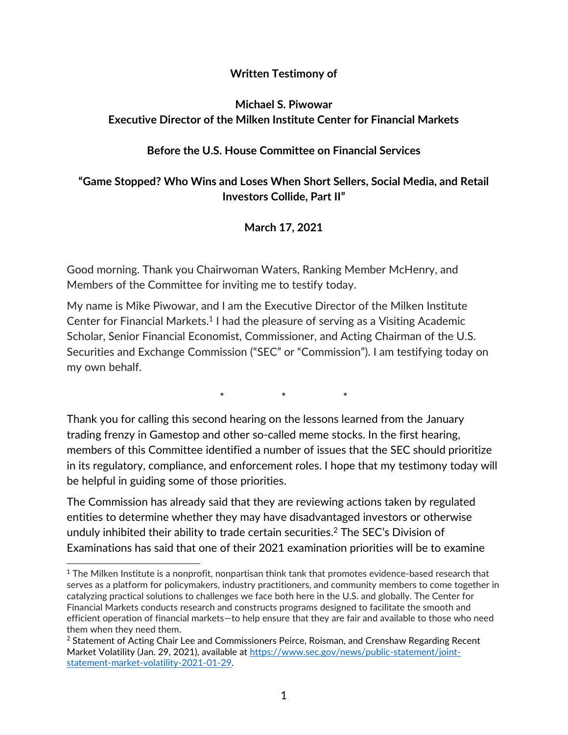#### **Written Testimony of**

## **Michael S. Piwowar Executive Director of the Milken Institute Center for Financial Markets**

#### **Before the U.S. House Committee on Financial Services**

## **"Game Stopped? Who Wins and Loses When Short Sellers, Social Media, and Retail Investors Collide, Part II"**

#### **March 17, 2021**

Good morning. Thank you Chairwoman Waters, Ranking Member McHenry, and Members of the Committee for inviting me to testify today.

My name is Mike Piwowar, and I am the Executive Director of the Milken Institute Center for Financial Markets.<sup>1</sup> I had the pleasure of serving as a Visiting Academic Scholar, Senior Financial Economist, Commissioner, and Acting Chairman of the U.S. Securities and Exchange Commission ("SEC" or "Commission"). I am testifying today on my own behalf.

 $*$  \* \* \*

Thank you for calling this second hearing on the lessons learned from the January trading frenzy in Gamestop and other so-called meme stocks. In the first hearing, members of this Committee identified a number of issues that the SEC should prioritize in its regulatory, compliance, and enforcement roles. I hope that my testimony today will be helpful in guiding some of those priorities.

The Commission has already said that they are reviewing actions taken by regulated entities to determine whether they may have disadvantaged investors or otherwise unduly inhibited their ability to trade certain securities. <sup>2</sup> The SEC's Division of Examinations has said that one of their 2021 examination priorities will be to examine

l

<sup>&</sup>lt;sup>1</sup> The Milken Institute is a nonprofit, nonpartisan think tank that promotes evidence-based research that serves as a platform for policymakers, industry practitioners, and community members to come together in catalyzing practical solutions to challenges we face both here in the U.S. and globally. The Center for Financial Markets conducts research and constructs programs designed to facilitate the smooth and efficient operation of financial markets—to help ensure that they are fair and available to those who need them when they need them.

<sup>&</sup>lt;sup>2</sup> Statement of Acting Chair Lee and Commissioners Peirce, Roisman, and Crenshaw Regarding Recent Market Volatility (Jan. 29, 2021), available at [https://www.sec.gov/news/public-statement/joint](https://www.sec.gov/news/public-statement/joint-statement-market-volatility-2021-01-29)[statement-market-volatility-2021-01-29.](https://www.sec.gov/news/public-statement/joint-statement-market-volatility-2021-01-29)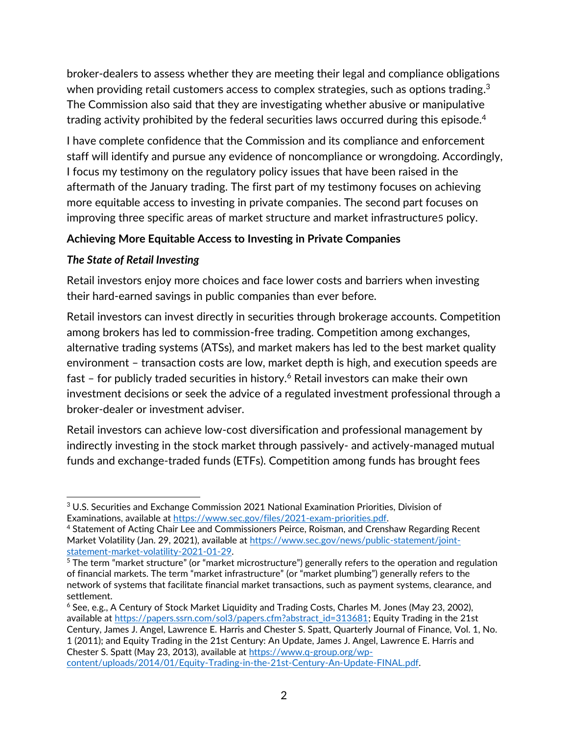broker-dealers to assess whether they are meeting their legal and compliance obligations when providing retail customers access to complex strategies, such as options trading. $^3$ The Commission also said that they are investigating whether abusive or manipulative trading activity prohibited by the federal securities laws occurred during this episode.<sup>4</sup>

I have complete confidence that the Commission and its compliance and enforcement staff will identify and pursue any evidence of noncompliance or wrongdoing. Accordingly, I focus my testimony on the regulatory policy issues that have been raised in the aftermath of the January trading. The first part of my testimony focuses on achieving more equitable access to investing in private companies. The second part focuses on improving three specific areas of market structure and market infrastructure5 policy.

## **Achieving More Equitable Access to Investing in Private Companies**

## *The State of Retail Investing*

Retail investors enjoy more choices and face lower costs and barriers when investing their hard-earned savings in public companies than ever before.

Retail investors can invest directly in securities through brokerage accounts. Competition among brokers has led to commission-free trading. Competition among exchanges, alternative trading systems (ATSs), and market makers has led to the best market quality environment – transaction costs are low, market depth is high, and execution speeds are fast – for publicly traded securities in history.<sup>6</sup> Retail investors can make their own investment decisions or seek the advice of a regulated investment professional through a broker-dealer or investment adviser.

Retail investors can achieve low-cost diversification and professional management by indirectly investing in the stock market through passively- and actively-managed mutual funds and exchange-traded funds (ETFs). Competition among funds has brought fees

 $6$  See, e.g., A Century of Stock Market Liquidity and Trading Costs, Charles M. Jones (May 23, 2002), available a[t https://papers.ssrn.com/sol3/papers.cfm?abstract\\_id=313681;](https://papers.ssrn.com/sol3/papers.cfm?abstract_id=313681) Equity Trading in the 21st Century, James J. Angel, Lawrence E. Harris and Chester S. Spatt, Quarterly Journal of Finance, Vol. 1, No. 1 (2011); and Equity Trading in the 21st Century: An Update, James J. Angel, Lawrence E. Harris and Chester S. Spatt (May 23, 2013), available at [https://www.q-group.org/wp](https://www.q-group.org/wp-content/uploads/2014/01/Equity-Trading-in-the-21st-Century-An-Update-FINAL.pdf)[content/uploads/2014/01/Equity-Trading-in-the-21st-Century-An-Update-FINAL.pdf.](https://www.q-group.org/wp-content/uploads/2014/01/Equity-Trading-in-the-21st-Century-An-Update-FINAL.pdf)

l <sup>3</sup> U.S. Securities and Exchange Commission 2021 National Examination Priorities, Division of Examinations, available at [https://www.sec.gov/files/2021-exam-priorities.pdf.](https://www.sec.gov/files/2021-exam-priorities.pdf)

<sup>4</sup> Statement of Acting Chair Lee and Commissioners Peirce, Roisman, and Crenshaw Regarding Recent Market Volatility (Jan. 29, 2021), available at [https://www.sec.gov/news/public-statement/joint](https://www.sec.gov/news/public-statement/joint-statement-market-volatility-2021-01-29)[statement-market-volatility-2021-01-29.](https://www.sec.gov/news/public-statement/joint-statement-market-volatility-2021-01-29)

<sup>5</sup> The term "market structure" (or "market microstructure") generally refers to the operation and regulation of financial markets. The term "market infrastructure" (or "market plumbing") generally refers to the network of systems that facilitate financial market transactions, such as payment systems, clearance, and settlement.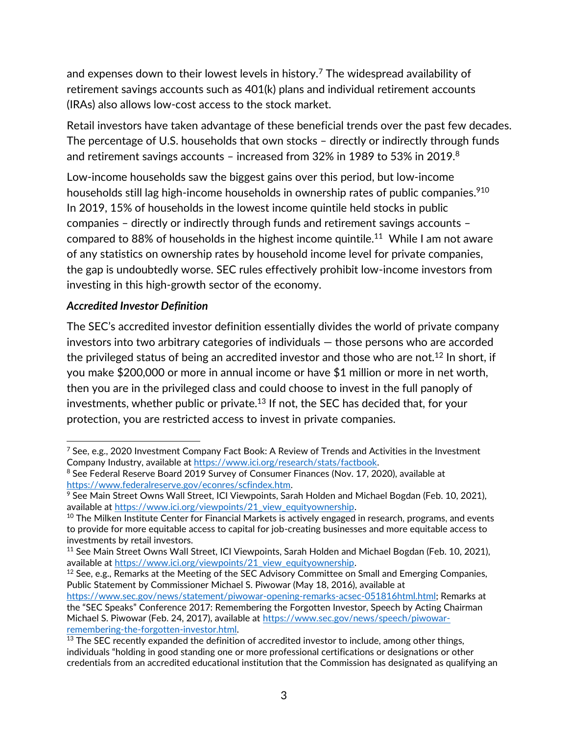and expenses down to their lowest levels in history.<sup>7</sup> The widespread availability of retirement savings accounts such as 401(k) plans and individual retirement accounts (IRAs) also allows low-cost access to the stock market.

Retail investors have taken advantage of these beneficial trends over the past few decades. The percentage of U.S. households that own stocks – directly or indirectly through funds and retirement savings accounts – increased from 32% in 1989 to 53% in 2019.<sup>8</sup>

Low-income households saw the biggest gains over this period, but low-income households still lag high-income households in ownership rates of public companies. $^{910}$ In 2019, 15% of households in the lowest income quintile held stocks in public companies – directly or indirectly through funds and retirement savings accounts – compared to 88% of households in the highest income quintile. $^{11}$  While I am not aware of any statistics on ownership rates by household income level for private companies, the gap is undoubtedly worse. SEC rules effectively prohibit low-income investors from investing in this high-growth sector of the economy.

### *Accredited Investor Definition*

The SEC's accredited investor definition essentially divides the world of private company investors into two arbitrary categories of individuals — those persons who are accorded the privileged status of being an accredited investor and those who are not.<sup>12</sup> In short, if you make \$200,000 or more in annual income or have \$1 million or more in net worth, then you are in the privileged class and could choose to invest in the full panoply of investments, whether public or private.<sup>13</sup> If not, the SEC has decided that, for your protection, you are restricted access to invest in private companies.

l <sup>7</sup> See, e.g., 2020 Investment Company Fact Book: A Review of Trends and Activities in the Investment Company Industry, available at [https://www.ici.org/research/stats/factbook.](https://www.ici.org/research/stats/factbook)

<sup>&</sup>lt;sup>8</sup> See Federal Reserve Board 2019 Survey of Consumer Finances (Nov. 17, 2020), available at [https://www.federalreserve.gov/econres/scfindex.htm.](https://www.federalreserve.gov/econres/scfindex.htm) 

<sup>9</sup> See Main Street Owns Wall Street, ICI Viewpoints, Sarah Holden and Michael Bogdan (Feb. 10, 2021), available at https://www.ici.org/viewpoints/21 view equityownership.

 $10$  The Milken Institute Center for Financial Markets is actively engaged in research, programs, and events to provide for more equitable access to capital for job-creating businesses and more equitable access to investments by retail investors.

<sup>&</sup>lt;sup>11</sup> See Main Street Owns Wall Street, ICI Viewpoints, Sarah Holden and Michael Bogdan (Feb. 10, 2021), available a[t https://www.ici.org/viewpoints/21\\_view\\_equityownership.](https://www.ici.org/viewpoints/21_view_equityownership)

 $12$  See, e.g., Remarks at the Meeting of the SEC Advisory Committee on Small and Emerging Companies, Public Statement by Commissioner Michael S. Piwowar (May 18, 2016), available at

[https://www.sec.gov/news/statement/piwowar-opening-remarks-acsec-051816html.html;](https://www.sec.gov/news/statement/piwowar-opening-remarks-acsec-051816html.html) Remarks at the "SEC Speaks" Conference 2017: Remembering the Forgotten Investor, Speech by Acting Chairman Michael S. Piwowar (Feb. 24, 2017), available at [https://www.sec.gov/news/speech/piwowar](https://www.sec.gov/news/speech/piwowar-remembering-the-forgotten-investor.html)[remembering-the-forgotten-investor.html.](https://www.sec.gov/news/speech/piwowar-remembering-the-forgotten-investor.html) 

<sup>&</sup>lt;sup>13</sup> The SEC recently expanded the definition of accredited investor to include, among other things, individuals "holding in good standing one or more professional certifications or designations or other credentials from an accredited educational institution that the Commission has designated as qualifying an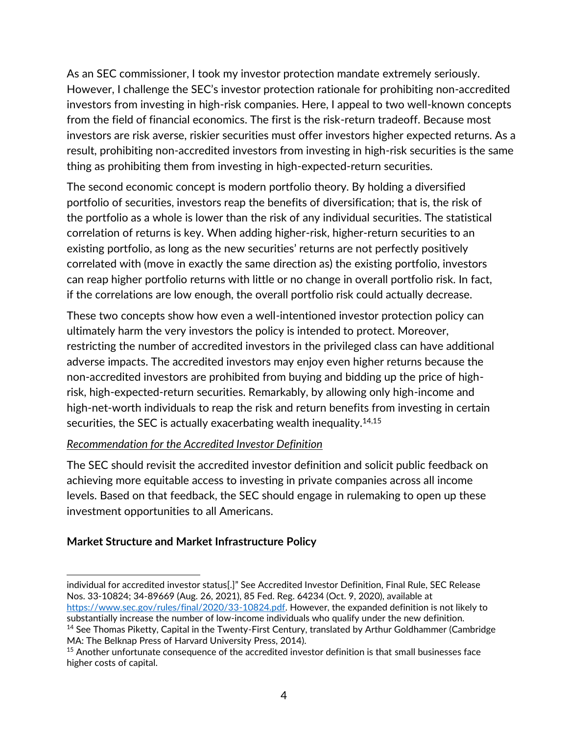As an SEC commissioner, I took my investor protection mandate extremely seriously. However, I challenge the SEC's investor protection rationale for prohibiting non-accredited investors from investing in high-risk companies. Here, I appeal to two well-known concepts from the field of financial economics. The first is the risk-return tradeoff. Because most investors are risk averse, riskier securities must offer investors higher expected returns. As a result, prohibiting non-accredited investors from investing in high-risk securities is the same thing as prohibiting them from investing in high-expected-return securities.

The second economic concept is modern portfolio theory. By holding a diversified portfolio of securities, investors reap the benefits of diversification; that is, the risk of the portfolio as a whole is lower than the risk of any individual securities. The statistical correlation of returns is key. When adding higher-risk, higher-return securities to an existing portfolio, as long as the new securities' returns are not perfectly positively correlated with (move in exactly the same direction as) the existing portfolio, investors can reap higher portfolio returns with little or no change in overall portfolio risk. In fact, if the correlations are low enough, the overall portfolio risk could actually decrease.

These two concepts show how even a well-intentioned investor protection policy can ultimately harm the very investors the policy is intended to protect. Moreover, restricting the number of accredited investors in the privileged class can have additional adverse impacts. The accredited investors may enjoy even higher returns because the non-accredited investors are prohibited from buying and bidding up the price of highrisk, high-expected-return securities. Remarkably, by allowing only high-income and high-net-worth individuals to reap the risk and return benefits from investing in certain securities, the SEC is actually exacerbating wealth inequality.<sup>14,15</sup>

#### *Recommendation for the Accredited Investor Definition*

The SEC should revisit the accredited investor definition and solicit public feedback on achieving more equitable access to investing in private companies across all income levels. Based on that feedback, the SEC should engage in rulemaking to open up these investment opportunities to all Americans.

#### **Market Structure and Market Infrastructure Policy**

l

individual for accredited investor status[.]" See Accredited Investor Definition, Final Rule, SEC Release Nos. 33-10824; 34-89669 (Aug. 26, 2021), 85 Fed. Reg. 64234 (Oct. 9, 2020), available at [https://www.sec.gov/rules/final/2020/33-10824.pdf.](https://www.sec.gov/rules/final/2020/33-10824.pdf) However, the expanded definition is not likely to substantially increase the number of low-income individuals who qualify under the new definition. <sup>14</sup> See Thomas Piketty, Capital in the Twenty-First Century, translated by Arthur Goldhammer (Cambridge MA: The Belknap Press of Harvard University Press, 2014).

<sup>&</sup>lt;sup>15</sup> Another unfortunate consequence of the accredited investor definition is that small businesses face higher costs of capital.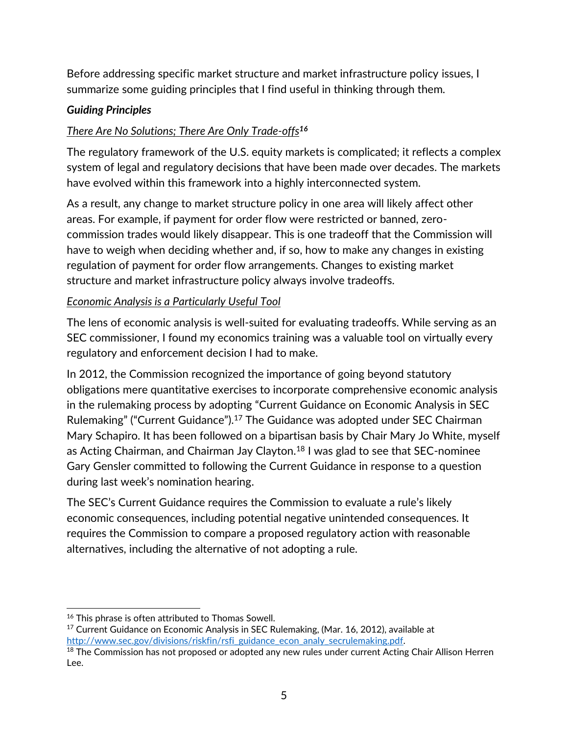Before addressing specific market structure and market infrastructure policy issues, I summarize some guiding principles that I find useful in thinking through them.

## *Guiding Principles*

# *There Are No Solutions; There Are Only Trade-offs<sup>16</sup>*

The regulatory framework of the U.S. equity markets is complicated; it reflects a complex system of legal and regulatory decisions that have been made over decades. The markets have evolved within this framework into a highly interconnected system.

As a result, any change to market structure policy in one area will likely affect other areas. For example, if payment for order flow were restricted or banned, zerocommission trades would likely disappear. This is one tradeoff that the Commission will have to weigh when deciding whether and, if so, how to make any changes in existing regulation of payment for order flow arrangements. Changes to existing market structure and market infrastructure policy always involve tradeoffs.

# *Economic Analysis is a Particularly Useful Tool*

The lens of economic analysis is well-suited for evaluating tradeoffs. While serving as an SEC commissioner, I found my economics training was a valuable tool on virtually every regulatory and enforcement decision I had to make.

In 2012, the Commission recognized the importance of going beyond statutory obligations mere quantitative exercises to incorporate comprehensive economic analysis in the rulemaking process by adopting "Current Guidance on Economic Analysis in SEC Rulemaking" ("Current Guidance").<sup>17</sup> The Guidance was adopted under SEC Chairman Mary Schapiro. It has been followed on a bipartisan basis by Chair Mary Jo White, myself as Acting Chairman, and Chairman Jay Clayton.<sup>18</sup> I was glad to see that SEC-nominee Gary Gensler committed to following the Current Guidance in response to a question during last week's nomination hearing.

The SEC's Current Guidance requires the Commission to evaluate a rule's likely economic consequences, including potential negative unintended consequences. It requires the Commission to compare a proposed regulatory action with reasonable alternatives, including the alternative of not adopting a rule.

l <sup>16</sup> This phrase is often attributed to Thomas Sowell.

<sup>&</sup>lt;sup>17</sup> Current Guidance on Economic Analysis in SEC Rulemaking, (Mar. 16, 2012), available at [http://www.sec.gov/divisions/riskfin/rsfi\\_guidance\\_econ\\_analy\\_secrulemaking.pdf.](http://www.sec.gov/divisions/riskfin/rsfi_guidance_econ_analy_secrulemaking.pdf)

<sup>&</sup>lt;sup>18</sup> The Commission has not proposed or adopted any new rules under current Acting Chair Allison Herren Lee.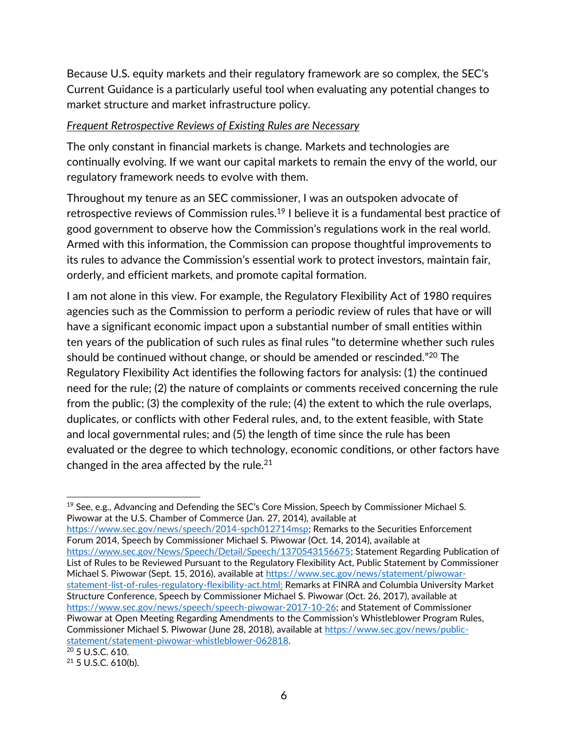Because U.S. equity markets and their regulatory framework are so complex, the SEC's Current Guidance is a particularly useful tool when evaluating any potential changes to market structure and market infrastructure policy.

#### *Frequent Retrospective Reviews of Existing Rules are Necessary*

The only constant in financial markets is change. Markets and technologies are continually evolving. If we want our capital markets to remain the envy of the world, our regulatory framework needs to evolve with them.

Throughout my tenure as an SEC commissioner, I was an outspoken advocate of retrospective reviews of Commission rules.<sup>19</sup> I believe it is a fundamental best practice of good government to observe how the Commission's regulations work in the real world. Armed with this information, the Commission can propose thoughtful improvements to its rules to advance the Commission's essential work to protect investors, maintain fair, orderly, and efficient markets, and promote capital formation.

I am not alone in this view. For example, the Regulatory Flexibility Act of 1980 requires agencies such as the Commission to perform a periodic review of rules that have or will have a significant economic impact upon a substantial number of small entities within ten years of the publication of such rules as final rules "to determine whether such rules should be continued without change, or should be amended or rescinded."<sup>20</sup> The Regulatory Flexibility Act identifies the following factors for analysis: (1) the continued need for the rule; (2) the nature of complaints or comments received concerning the rule from the public; (3) the complexity of the rule; (4) the extent to which the rule overlaps, duplicates, or conflicts with other Federal rules, and, to the extent feasible, with State and local governmental rules; and (5) the length of time since the rule has been evaluated or the degree to which technology, economic conditions, or other factors have changed in the area affected by the rule.<sup>21</sup>

[https://www.sec.gov/news/speech/2014-spch012714msp;](https://www.sec.gov/news/speech/2014-spch012714msp) Remarks to the Securities Enforcement Forum 2014, Speech by Commissioner Michael S. Piwowar (Oct. 14, 2014), available at [https://www.sec.gov/News/Speech/Detail/Speech/1370543156675;](https://www.sec.gov/News/Speech/Detail/Speech/1370543156675) Statement Regarding Publication of List of Rules to be Reviewed Pursuant to the Regulatory Flexibility Act, Public Statement by Commissioner Michael S. Piwowar (Sept. 15, 2016), available at [https://www.sec.gov/news/statement/piwowar](https://www.sec.gov/news/statement/piwowar-statement-list-of-rules-regulatory-flexibility-act.html)[statement-list-of-rules-regulatory-flexibility-act.html;](https://www.sec.gov/news/statement/piwowar-statement-list-of-rules-regulatory-flexibility-act.html) Remarks at FINRA and Columbia University Market Structure Conference, Speech by Commissioner Michael S. Piwowar (Oct. 26, 2017), available at [https://www.sec.gov/news/speech/speech-piwowar-2017-10-26;](https://www.sec.gov/news/speech/speech-piwowar-2017-10-26) and Statement of Commissioner Piwowar at Open Meeting Regarding Amendments to the Commission's Whistleblower Program Rules, Commissioner Michael S. Piwowar (June 28, 2018), available at [https://www.sec.gov/news/public](https://www.sec.gov/news/public-statement/statement-piwowar-whistleblower-062818)[statement/statement-piwowar-whistleblower-062818.](https://www.sec.gov/news/public-statement/statement-piwowar-whistleblower-062818)

l  $19$  See, e.g., Advancing and Defending the SEC's Core Mission, Speech by Commissioner Michael S. Piwowar at the U.S. Chamber of Commerce (Jan. 27, 2014), available at

<sup>20</sup> 5 U.S.C. 610.

<sup>21</sup> 5 U.S.C. 610(b).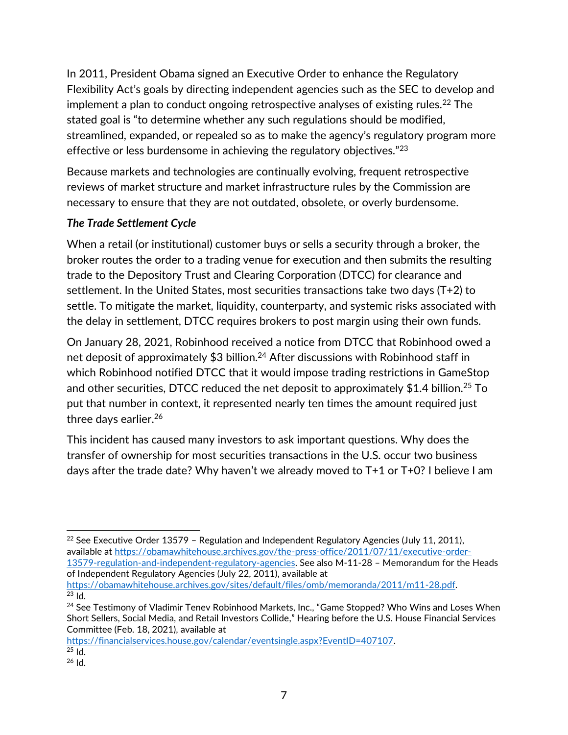In 2011, President Obama signed an Executive Order to enhance the Regulatory Flexibility Act's goals by directing independent agencies such as the SEC to develop and implement a plan to conduct ongoing retrospective analyses of existing rules.<sup>22</sup> The stated goal is "to determine whether any such regulations should be modified, streamlined, expanded, or repealed so as to make the agency's regulatory program more effective or less burdensome in achieving the regulatory objectives."<sup>23</sup>

Because markets and technologies are continually evolving, frequent retrospective reviews of market structure and market infrastructure rules by the Commission are necessary to ensure that they are not outdated, obsolete, or overly burdensome.

### *The Trade Settlement Cycle*

When a retail (or institutional) customer buys or sells a security through a broker, the broker routes the order to a trading venue for execution and then submits the resulting trade to the Depository Trust and Clearing Corporation (DTCC) for clearance and settlement. In the United States, most securities transactions take two days (T+2) to settle. To mitigate the market, liquidity, counterparty, and systemic risks associated with the delay in settlement, DTCC requires brokers to post margin using their own funds.

On January 28, 2021, Robinhood received a notice from DTCC that Robinhood owed a net deposit of approximately \$3 billion.<sup>24</sup> After discussions with Robinhood staff in which Robinhood notified DTCC that it would impose trading restrictions in GameStop and other securities, DTCC reduced the net deposit to approximately  $$1.4$  billion.<sup>25</sup> To put that number in context, it represented nearly ten times the amount required just three days earlier.<sup>26</sup>

This incident has caused many investors to ask important questions. Why does the transfer of ownership for most securities transactions in the U.S. occur two business days after the trade date? Why haven't we already moved to T+1 or T+0? I believe I am

of Independent Regulatory Agencies (July 22, 2011), available at [https://obamawhitehouse.archives.gov/sites/default/files/omb/memoranda/2011/m11-28.pdf.](https://obamawhitehouse.archives.gov/sites/default/files/omb/memoranda/2011/m11-28.pdf)  $23$  Id.

[https://financialservices.house.gov/calendar/eventsingle.aspx?EventID=407107.](https://financialservices.house.gov/calendar/eventsingle.aspx?EventID=407107)   $25$  Id.

l <sup>22</sup> See Executive Order 13579 - Regulation and Independent Regulatory Agencies (July 11, 2011), available a[t https://obamawhitehouse.archives.gov/the-press-office/2011/07/11/executive-order-](https://obamawhitehouse.archives.gov/the-press-office/2011/07/11/executive-order-13579-regulation-and-independent-regulatory-agencies)[13579-regulation-and-independent-regulatory-agencies.](https://obamawhitehouse.archives.gov/the-press-office/2011/07/11/executive-order-13579-regulation-and-independent-regulatory-agencies) See also M-11-28 – Memorandum for the Heads

<sup>&</sup>lt;sup>24</sup> See Testimony of Vladimir Tenev Robinhood Markets, Inc., "Game Stopped? Who Wins and Loses When Short Sellers, Social Media, and Retail Investors Collide," Hearing before the U.S. House Financial Services Committee (Feb. 18, 2021), available at

 $26$  Id.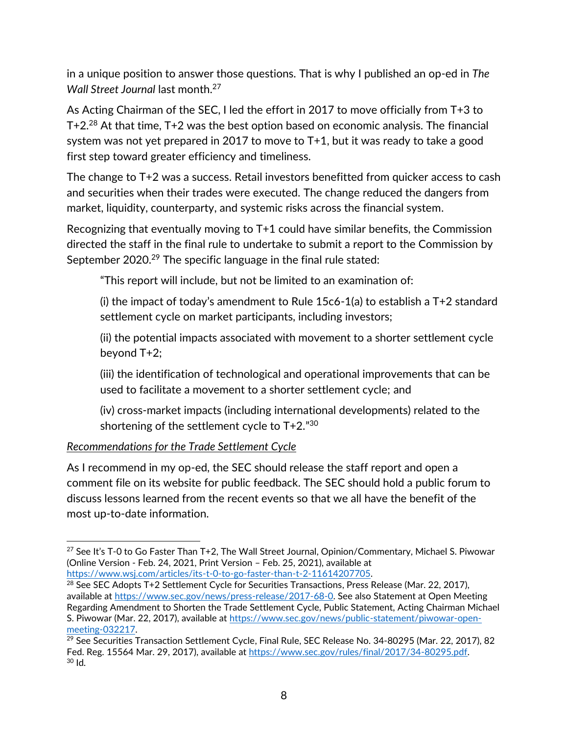in a unique position to answer those questions. That is why I published an op-ed in *The Wall Street Journal* last month.<sup>27</sup>

As Acting Chairman of the SEC, I led the effort in 2017 to move officially from T+3 to T+2.<sup>28</sup> At that time, T+2 was the best option based on economic analysis. The financial system was not yet prepared in 2017 to move to T+1, but it was ready to take a good first step toward greater efficiency and timeliness.

The change to T+2 was a success. Retail investors benefitted from quicker access to cash and securities when their trades were executed. The change reduced the dangers from market, liquidity, counterparty, and systemic risks across the financial system.

Recognizing that eventually moving to T+1 could have similar benefits, the Commission directed the staff in the final rule to undertake to submit a report to the Commission by September 2020.<sup>29</sup> The specific language in the final rule stated:

"This report will include, but not be limited to an examination of:

(i) the impact of today's amendment to Rule  $15c6-1$ (a) to establish a T+2 standard settlement cycle on market participants, including investors;

(ii) the potential impacts associated with movement to a shorter settlement cycle beyond T+2;

(iii) the identification of technological and operational improvements that can be used to facilitate a movement to a shorter settlement cycle; and

(iv) cross-market impacts (including international developments) related to the shortening of the settlement cycle to  $T+2.^{"30}$ 

#### *Recommendations for the Trade Settlement Cycle*

l

As I recommend in my op-ed, the SEC should release the staff report and open a comment file on its website for public feedback. The SEC should hold a public forum to discuss lessons learned from the recent events so that we all have the benefit of the most up-to-date information.

<sup>27</sup> See It's T-0 to Go Faster Than T+2, The Wall Street Journal, Opinion/Commentary, Michael S. Piwowar (Online Version - Feb. 24, 2021, Print Version – Feb. 25, 2021), available at [https://www.wsj.com/articles/its-t-0-to-go-faster-than-t-2-11614207705.](https://www.wsj.com/articles/its-t-0-to-go-faster-than-t-2-11614207705)

 $^{28}$  See SEC Adopts T+2 Settlement Cycle for Securities Transactions, Press Release (Mar. 22, 2017), available a[t https://www.sec.gov/news/press-release/2017-68-0.](https://www.sec.gov/news/press-release/2017-68-0) See also Statement at Open Meeting Regarding Amendment to Shorten the Trade Settlement Cycle, Public Statement, Acting Chairman Michael S. Piwowar (Mar. 22, 2017), available at [https://www.sec.gov/news/public-statement/piwowar-open](https://www.sec.gov/news/public-statement/piwowar-open-meeting-032217)[meeting-032217.](https://www.sec.gov/news/public-statement/piwowar-open-meeting-032217)

<sup>29</sup> See Securities Transaction Settlement Cycle, Final Rule, SEC Release No. 34-80295 (Mar. 22, 2017), 82 Fed. Reg. 15564 Mar. 29, 2017), available at [https://www.sec.gov/rules/final/2017/34-80295.pdf.](https://www.sec.gov/rules/final/2017/34-80295.pdf)  $30$  Id.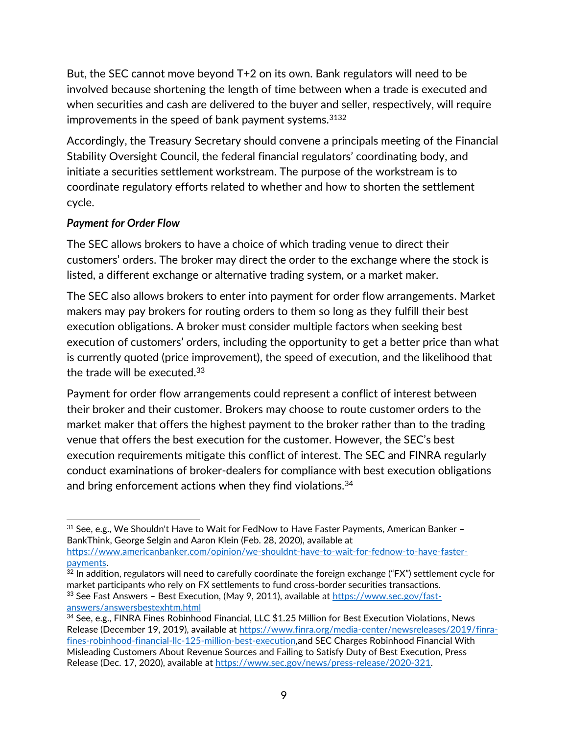But, the SEC cannot move beyond T+2 on its own. Bank regulators will need to be involved because shortening the length of time between when a trade is executed and when securities and cash are delivered to the buyer and seller, respectively, will require improvements in the speed of bank payment systems.<sup>3132</sup>

Accordingly, the Treasury Secretary should convene a principals meeting of the Financial Stability Oversight Council, the federal financial regulators' coordinating body, and initiate a securities settlement workstream. The purpose of the workstream is to coordinate regulatory efforts related to whether and how to shorten the settlement cycle.

### *Payment for Order Flow*

The SEC allows brokers to have a choice of which trading venue to direct their customers' orders. The broker may direct the order to the exchange where the stock is listed, a different exchange or alternative trading system, or a market maker.

The SEC also allows brokers to enter into payment for order flow arrangements. Market makers may pay brokers for routing orders to them so long as they fulfill their best execution obligations. A broker must consider multiple factors when seeking best execution of customers' orders, including the opportunity to get a better price than what is currently quoted (price improvement), the speed of execution, and the likelihood that the trade will be executed.<sup>33</sup>

Payment for order flow arrangements could represent a conflict of interest between their broker and their customer. Brokers may choose to route customer orders to the market maker that offers the highest payment to the broker rather than to the trading venue that offers the best execution for the customer. However, the SEC's best execution requirements mitigate this conflict of interest. The SEC and FINRA regularly conduct examinations of broker-dealers for compliance with best execution obligations and bring enforcement actions when they find violations.<sup>34</sup>

 $32$  In addition, regulators will need to carefully coordinate the foreign exchange ("FX") settlement cycle for market participants who rely on FX settlements to fund cross-border securities transactions. 33 See Fast Answers - Best Execution, (May 9, 2011), available at [https://www.sec.gov/fast](https://www.sec.gov/fast-answers/answersbestexhtm.html)[answers/answersbestexhtm.html](https://www.sec.gov/fast-answers/answersbestexhtm.html)

l  $31$  See, e.g., We Shouldn't Have to Wait for FedNow to Have Faster Payments, American Banker – BankThink, George Selgin and Aaron Klein (Feb. 28, 2020), available at

[https://www.americanbanker.com/opinion/we-shouldnt-have-to-wait-for-fednow-to-have-faster](https://www.americanbanker.com/opinion/we-shouldnt-have-to-wait-for-fednow-to-have-faster-payments)[payments.](https://www.americanbanker.com/opinion/we-shouldnt-have-to-wait-for-fednow-to-have-faster-payments)

<sup>34</sup> See, e.g., FINRA Fines Robinhood Financial, LLC \$1.25 Million for Best Execution Violations, News Release (December 19, 2019), available at [https://www.finra.org/media-center/newsreleases/2019/finra](https://www.finra.org/media-center/newsreleases/2019/finra-fines-robinhood-financial-llc-125-million-best-execution)[fines-robinhood-financial-llc-125-million-best-execution,](https://www.finra.org/media-center/newsreleases/2019/finra-fines-robinhood-financial-llc-125-million-best-execution)and SEC Charges Robinhood Financial With Misleading Customers About Revenue Sources and Failing to Satisfy Duty of Best Execution, Press Release (Dec. 17, 2020), available at [https://www.sec.gov/news/press-release/2020-321.](https://www.sec.gov/news/press-release/2020-321)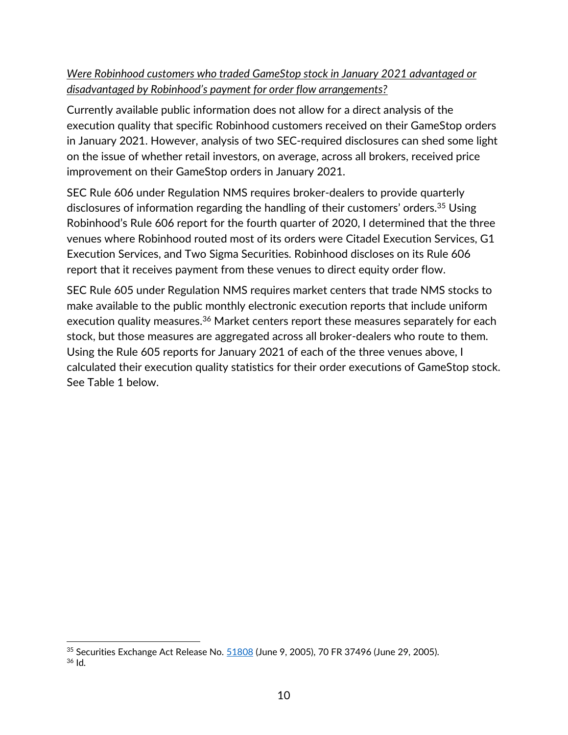# *Were Robinhood customers who traded GameStop stock in January 2021 advantaged or disadvantaged by Robinhood's payment for order flow arrangements?*

Currently available public information does not allow for a direct analysis of the execution quality that specific Robinhood customers received on their GameStop orders in January 2021. However, analysis of two SEC-required disclosures can shed some light on the issue of whether retail investors, on average, across all brokers, received price improvement on their GameStop orders in January 2021.

SEC Rule 606 under Regulation NMS requires broker-dealers to provide quarterly disclosures of information regarding the handling of their customers' orders.<sup>35</sup> Using Robinhood's Rule 606 report for the fourth quarter of 2020, I determined that the three venues where Robinhood routed most of its orders were Citadel Execution Services, G1 Execution Services, and Two Sigma Securities. Robinhood discloses on its Rule 606 report that it receives payment from these venues to direct equity order flow.

SEC Rule 605 under Regulation NMS requires market centers that trade NMS stocks to make available to the public monthly electronic execution reports that include uniform execution quality measures.<sup>36</sup> Market centers report these measures separately for each stock, but those measures are aggregated across all broker-dealers who route to them. Using the Rule 605 reports for January 2021 of each of the three venues above, I calculated their execution quality statistics for their order executions of GameStop stock. See Table 1 below.

l

<sup>35</sup> Securities Exchange Act Release No. [51808](file:///C:/Users/mpiwowar/AppData/Roaming/Microsoft/Word/51808) (June 9, 2005), 70 FR 37496 (June 29, 2005).  $36$  Id.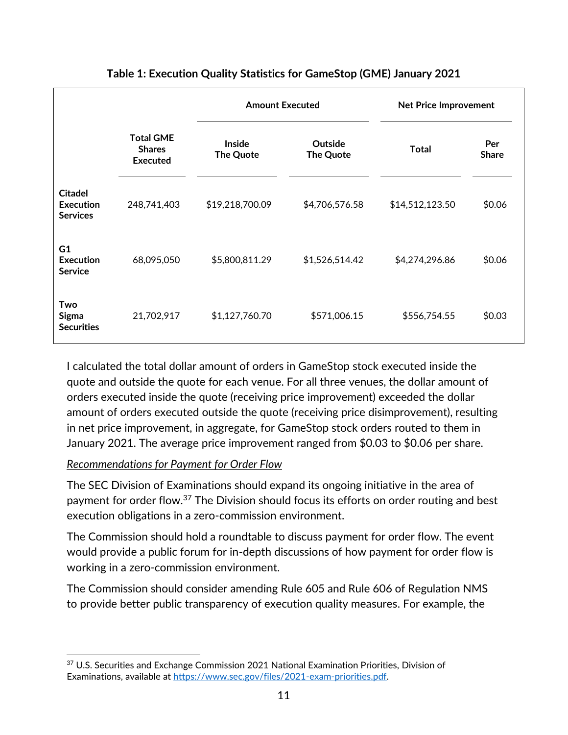|                                                       |                                               | <b>Amount Executed</b>     |                      | <b>Net Price Improvement</b> |                     |
|-------------------------------------------------------|-----------------------------------------------|----------------------------|----------------------|------------------------------|---------------------|
|                                                       | <b>Total GME</b><br><b>Shares</b><br>Executed | <b>Inside</b><br>The Quote | Outside<br>The Quote | <b>Total</b>                 | Per<br><b>Share</b> |
| <b>Citadel</b><br><b>Execution</b><br><b>Services</b> | 248,741,403                                   | \$19,218,700.09            | \$4,706,576.58       | \$14,512,123.50              | \$0.06              |
| G <sub>1</sub><br>Execution<br><b>Service</b>         | 68,095,050                                    | \$5,800,811.29             | \$1,526,514.42       | \$4,274,296.86               | \$0.06              |
| Two<br><b>Sigma</b><br><b>Securities</b>              | 21,702,917                                    | \$1,127,760.70             | \$571,006.15         | \$556,754.55                 | \$0.03              |

# **Table 1: Execution Quality Statistics for GameStop (GME) January 2021**

I calculated the total dollar amount of orders in GameStop stock executed inside the quote and outside the quote for each venue. For all three venues, the dollar amount of orders executed inside the quote (receiving price improvement) exceeded the dollar amount of orders executed outside the quote (receiving price disimprovement), resulting in net price improvement, in aggregate, for GameStop stock orders routed to them in January 2021. The average price improvement ranged from \$0.03 to \$0.06 per share.

#### *Recommendations for Payment for Order Flow*

 $\overline{a}$ 

The SEC Division of Examinations should expand its ongoing initiative in the area of payment for order flow.<sup>37</sup> The Division should focus its efforts on order routing and best execution obligations in a zero-commission environment.

The Commission should hold a roundtable to discuss payment for order flow. The event would provide a public forum for in-depth discussions of how payment for order flow is working in a zero-commission environment.

The Commission should consider amending Rule 605 and Rule 606 of Regulation NMS to provide better public transparency of execution quality measures. For example, the

<sup>&</sup>lt;sup>37</sup> U.S. Securities and Exchange Commission 2021 National Examination Priorities, Division of Examinations, available at [https://www.sec.gov/files/2021-exam-priorities.pdf.](https://www.sec.gov/files/2021-exam-priorities.pdf)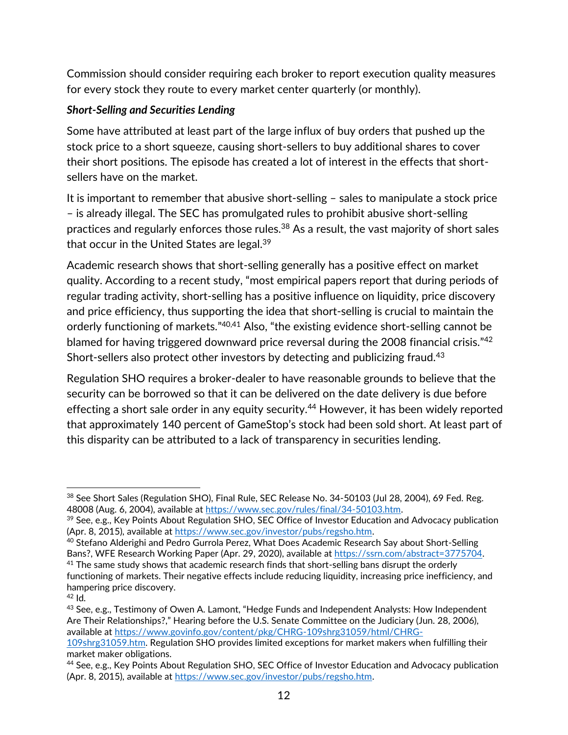Commission should consider requiring each broker to report execution quality measures for every stock they route to every market center quarterly (or monthly).

### *Short-Selling and Securities Lending*

Some have attributed at least part of the large influx of buy orders that pushed up the stock price to a short squeeze, causing short-sellers to buy additional shares to cover their short positions. The episode has created a lot of interest in the effects that shortsellers have on the market.

It is important to remember that abusive short-selling – sales to manipulate a stock price – is already illegal. The SEC has promulgated rules to prohibit abusive short-selling practices and regularly enforces those rules.<sup>38</sup> As a result, the vast majority of short sales that occur in the United States are legal.<sup>39</sup>

Academic research shows that short-selling generally has a positive effect on market quality. According to a recent study, "most empirical papers report that during periods of regular trading activity, short-selling has a positive influence on liquidity, price discovery and price efficiency, thus supporting the idea that short-selling is crucial to maintain the orderly functioning of markets."<sup>40,41</sup> Also, "the existing evidence short-selling cannot be blamed for having triggered downward price reversal during the 2008 financial crisis."<sup>42</sup> Short-sellers also protect other investors by detecting and publicizing fraud.<sup>43</sup>

Regulation SHO requires a broker-dealer to have reasonable grounds to believe that the security can be borrowed so that it can be delivered on the date delivery is due before effecting a short sale order in any equity security.<sup>44</sup> However, it has been widely reported that approximately 140 percent of GameStop's stock had been sold short. At least part of this disparity can be attributed to a lack of transparency in securities lending.

 $\overline{a}$ <sup>38</sup> See Short Sales (Regulation SHO), Final Rule, SEC Release No. 34-50103 (Jul 28, 2004), 69 Fed. Reg. 48008 (Aug. 6, 2004), available at [https://www.sec.gov/rules/final/34-50103.htm.](https://www.sec.gov/rules/final/34-50103.htm) 

<sup>&</sup>lt;sup>39</sup> See, e.g., Key Points About Regulation SHO, SEC Office of Investor Education and Advocacy publication (Apr. 8, 2015), available at [https://www.sec.gov/investor/pubs/regsho.htm.](https://www.sec.gov/investor/pubs/regsho.htm) 

<sup>40</sup> Stefano Alderighi and Pedro Gurrola Perez, What Does Academic Research Say about Short-Selling Bans?, WFE Research Working Paper (Apr. 29, 2020), available a[t https://ssrn.com/abstract=3775704.](https://ssrn.com/abstract=3775704)  $41$  The same study shows that academic research finds that short-selling bans disrupt the orderly

functioning of markets. Their negative effects include reducing liquidity, increasing price inefficiency, and hampering price discovery.

 $42$  Id.

<sup>43</sup> See, e.g., Testimony of Owen A. Lamont, "Hedge Funds and Independent Analysts: How Independent Are Their Relationships?," Hearing before the U.S. Senate Committee on the Judiciary (Jun. 28, 2006), available a[t https://www.govinfo.gov/content/pkg/CHRG-109shrg31059/html/CHRG-](https://www.govinfo.gov/content/pkg/CHRG-109shrg31059/html/CHRG-109shrg31059.htm)

[<sup>109</sup>shrg31059.htm.](https://www.govinfo.gov/content/pkg/CHRG-109shrg31059/html/CHRG-109shrg31059.htm) Regulation SHO provides limited exceptions for market makers when fulfilling their market maker obligations.

<sup>44</sup> See, e.g., Key Points About Regulation SHO, SEC Office of Investor Education and Advocacy publication (Apr. 8, 2015), available at [https://www.sec.gov/investor/pubs/regsho.htm.](https://www.sec.gov/investor/pubs/regsho.htm)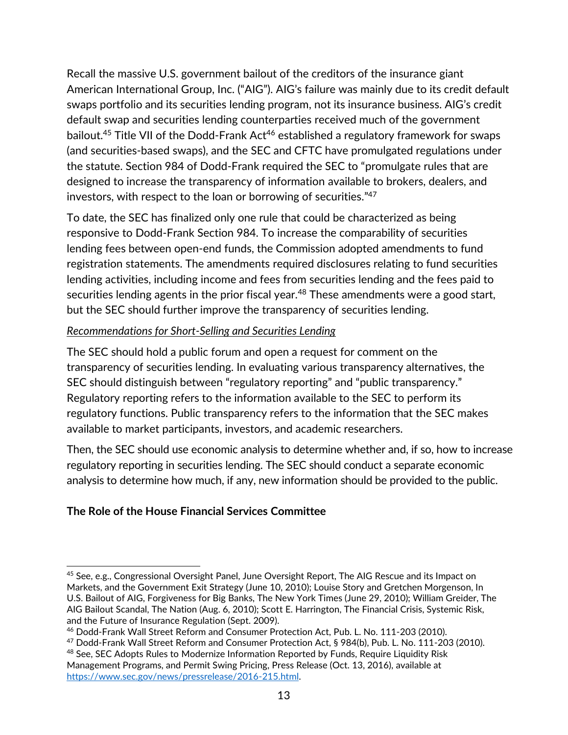Recall the massive U.S. government bailout of the creditors of the insurance giant American International Group, Inc. ("AIG"). AIG's failure was mainly due to its credit default swaps portfolio and its securities lending program, not its insurance business. AIG's credit default swap and securities lending counterparties received much of the government bailout.<sup>45</sup> Title VII of the Dodd-Frank Act<sup>46</sup> established a regulatory framework for swaps (and securities-based swaps), and the SEC and CFTC have promulgated regulations under the statute. Section 984 of Dodd-Frank required the SEC to "promulgate rules that are designed to increase the transparency of information available to brokers, dealers, and investors, with respect to the loan or borrowing of securities." 47

To date, the SEC has finalized only one rule that could be characterized as being responsive to Dodd-Frank Section 984. To increase the comparability of securities lending fees between open-end funds, the Commission adopted amendments to fund registration statements. The amendments required disclosures relating to fund securities lending activities, including income and fees from securities lending and the fees paid to securities lending agents in the prior fiscal year.<sup>48</sup> These amendments were a good start, but the SEC should further improve the transparency of securities lending.

### *Recommendations for Short-Selling and Securities Lending*

The SEC should hold a public forum and open a request for comment on the transparency of securities lending. In evaluating various transparency alternatives, the SEC should distinguish between "regulatory reporting" and "public transparency." Regulatory reporting refers to the information available to the SEC to perform its regulatory functions. Public transparency refers to the information that the SEC makes available to market participants, investors, and academic researchers.

Then, the SEC should use economic analysis to determine whether and, if so, how to increase regulatory reporting in securities lending. The SEC should conduct a separate economic analysis to determine how much, if any, new information should be provided to the public.

# **The Role of the House Financial Services Committee**

 $\overline{a}$ 

<sup>45</sup> See, e.g., Congressional Oversight Panel, June Oversight Report, The AIG Rescue and its Impact on Markets, and the Government Exit Strategy (June 10, 2010); Louise Story and Gretchen Morgenson, In U.S. Bailout of AIG, Forgiveness for Big Banks, The New York Times (June 29, 2010); William Greider, The AIG Bailout Scandal, The Nation (Aug. 6, 2010); Scott E. Harrington, The Financial Crisis, Systemic Risk, and the Future of Insurance Regulation (Sept. 2009).

<sup>46</sup> Dodd-Frank Wall Street Reform and Consumer Protection Act, Pub. L. No. 111-203 (2010).

<sup>47</sup> Dodd-Frank Wall Street Reform and Consumer Protection Act, § 984(b), Pub. L. No. 111-203 (2010).

<sup>&</sup>lt;sup>48</sup> See, SEC Adopts Rules to Modernize Information Reported by Funds, Require Liquidity Risk Management Programs, and Permit Swing Pricing, Press Release (Oct. 13, 2016), available at [https://www.sec.gov/news/pressrelease/2016-215.html.](https://www.sec.gov/news/pressrelease/2016-215.html)